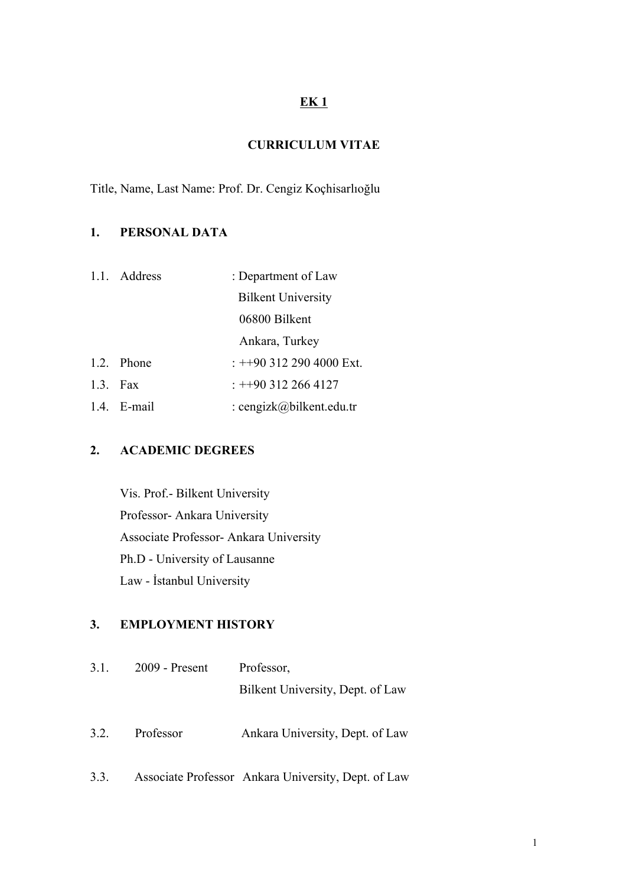## **EK 1**

## **CURRICULUM VITAE**

Title, Name, Last Name: Prof. Dr. Cengiz Koçhisarlıoğlu

## **1. PERSONAL DATA**

|  | 1.1. Address | : Department of Law       |
|--|--------------|---------------------------|
|  |              | <b>Bilkent University</b> |
|  |              | 06800 Bilkent             |
|  |              | Ankara, Turkey            |
|  | 1.2. Phone   | $: +903122904000$ Ext.    |
|  | 1.3. Fax     | $: +903122664127$         |
|  | 1.4. E-mail  | : cengizk@bilkent.edu.tr  |

## **2. ACADEMIC DEGREES**

Vis. Prof.- Bilkent University Professor- Ankara University Associate Professor- Ankara University Ph.D - University of Lausanne Law - İstanbul University

#### **3. EMPLOYMENT HISTORY**

| 3.1. | $2009$ - Present | Professor,                       |
|------|------------------|----------------------------------|
|      |                  | Bilkent University, Dept. of Law |
| 3.2. | Professor        | Ankara University, Dept. of Law  |
|      |                  |                                  |

3.3. Associate Professor Ankara University, Dept. of Law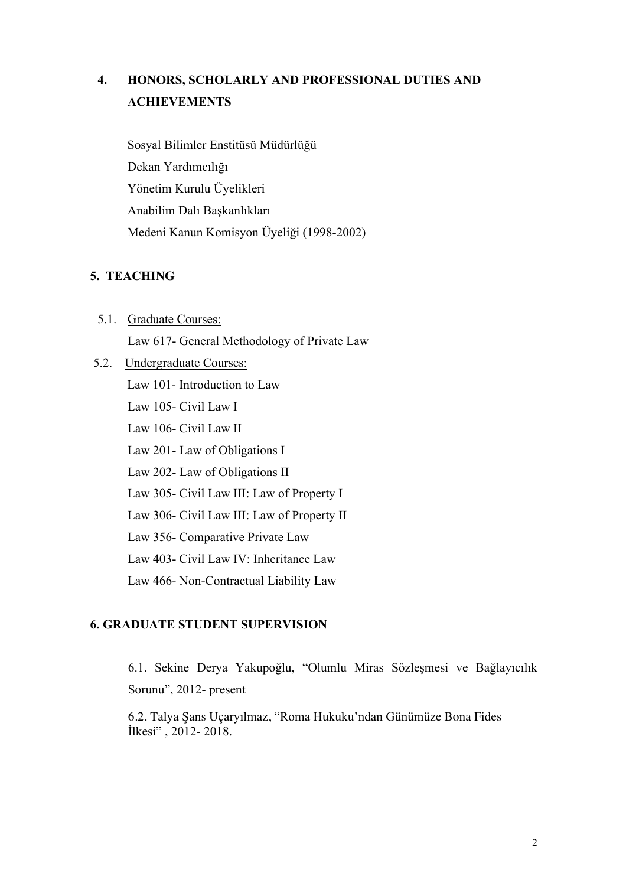# **4. HONORS, SCHOLARLY AND PROFESSIONAL DUTIES AND ACHIEVEMENTS**

Sosyal Bilimler Enstitüsü Müdürlüğü Dekan Yardımcılığı Yönetim Kurulu Üyelikleri Anabilim Dalı Başkanlıkları Medeni Kanun Komisyon Üyeliği (1998-2002)

## **5. TEACHING**

- 5.1. Graduate Courses: Law 617- General Methodology of Private Law
- 5.2. Undergraduate Courses: Law 101- Introduction to Law Law 105- Civil Law I Law 106- Civil Law II Law 201- Law of Obligations I Law 202- Law of Obligations II Law 305- Civil Law III: Law of Property I Law 306- Civil Law III: Law of Property II Law 356- Comparative Private Law Law 403- Civil Law IV: Inheritance Law Law 466- Non-Contractual Liability Law

#### **6. GRADUATE STUDENT SUPERVISION**

6.1. Sekine Derya Yakupoğlu, "Olumlu Miras Sözleşmesi ve Bağlayıcılık Sorunu", 2012- present

6.2. Talya Şans Uçaryılmaz, "Roma Hukuku'ndan Günümüze Bona Fides İlkesi" , 2012- 2018.